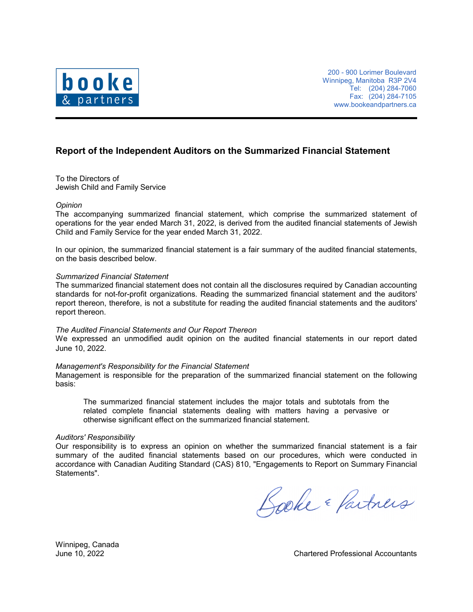

200 - 900 Lorimer Boulevard Winnipeg, Manitoba R3P 2V4 Tel: (204) 284-7060 Fax: (204) 284-7105 www.bookeandpartners.ca

## **Report of the Independent Auditors on the Summarized Financial Statement**

To the Directors of Jewish Child and Family Service

#### *Opinion*

The accompanying summarized financial statement, which comprise the summarized statement of operations for the year ended March 31, 2022, is derived from the audited financial statements of Jewish Child and Family Service for the year ended March 31, 2022.

In our opinion, the summarized financial statement is a fair summary of the audited financial statements, on the basis described below.

### *Summarized Financial Statement*

The summarized financial statement does not contain all the disclosures required by Canadian accounting standards for not-for-profit organizations. Reading the summarized financial statement and the auditors' report thereon, therefore, is not a substitute for reading the audited financial statements and the auditors' report thereon.

#### *The Audited Financial Statements and Our Report Thereon*

We expressed an unmodified audit opinion on the audited financial statements in our report dated June 10, 2022.

#### *Management's Responsibility for the Financial Statement*

Management is responsible for the preparation of the summarized financial statement on the following basis:

The summarized financial statement includes the major totals and subtotals from the related complete financial statements dealing with matters having a pervasive or otherwise significant effect on the summarized financial statement.

#### *Auditors' Responsibility*

Our responsibility is to express an opinion on whether the summarized financial statement is a fair summary of the audited financial statements based on our procedures, which were conducted in accordance with Canadian Auditing Standard (CAS) 810, "Engagements to Report on Summary Financial Statements".

Looke & Partners

Winnipeg, Canada

June 10, 2022 Chartered Professional Accountants